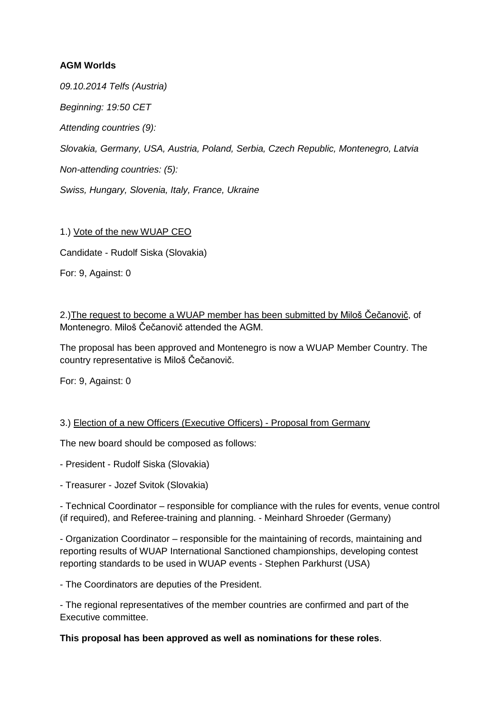# **AGM Worlds**

*09.10.2014 Telfs (Austria)*

*Beginning: 19:50 CET*

*Attending countries (9):*

*Slovakia, Germany, USA, Austria, Poland, Serbia, Czech Republic, Montenegro, Latvia*

*Non-attending countries: (5):*

*Swiss, Hungary, Slovenia, Italy, France, Ukraine*

### 1.) Vote of the new WUAP CEO

Candidate - Rudolf Siska (Slovakia)

For: 9, Against: 0

2.) The request to become a WUAP member has been submitted by Miloš Čečanovič, of Montenegro. Miloš Čečanovič attended the AGM.

The proposal has been approved and Montenegro is now a WUAP Member Country. The country representative is Miloš Čečanovič.

For: 9, Against: 0

### 3.) Election of a new Officers (Executive Officers) - Proposal from Germany

The new board should be composed as follows:

- President - Rudolf Siska (Slovakia)

- Treasurer - Jozef Svitok (Slovakia)

- Technical Coordinator – responsible for compliance with the rules for events, venue control (if required), and Referee-training and planning. - Meinhard Shroeder (Germany)

- Organization Coordinator – responsible for the maintaining of records, maintaining and reporting results of WUAP International Sanctioned championships, developing contest reporting standards to be used in WUAP events - Stephen Parkhurst (USA)

- The Coordinators are deputies of the President.

- The regional representatives of the member countries are confirmed and part of the Executive committee.

### **This proposal has been approved as well as nominations for these roles**.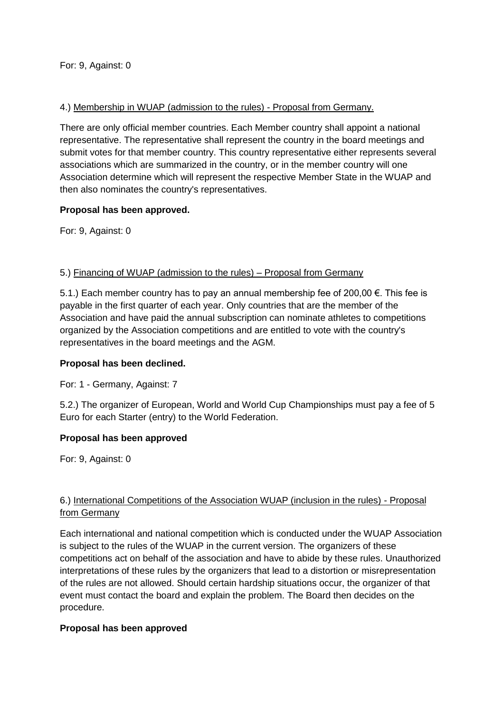# 4.) Membership in WUAP (admission to the rules) - Proposal from Germany.

There are only official member countries. Each Member country shall appoint a national representative. The representative shall represent the country in the board meetings and submit votes for that member country. This country representative either represents several associations which are summarized in the country, or in the member country will one Association determine which will represent the respective Member State in the WUAP and then also nominates the country's representatives.

### **Proposal has been approved.**

For: 9, Against: 0

### 5.) Financing of WUAP (admission to the rules) – Proposal from Germany

5.1.) Each member country has to pay an annual membership fee of 200,00 €. This fee is payable in the first quarter of each year. Only countries that are the member of the Association and have paid the annual subscription can nominate athletes to competitions organized by the Association competitions and are entitled to vote with the country's representatives in the board meetings and the AGM.

# **Proposal has been declined.**

For: 1 - Germany, Against: 7

5.2.) The organizer of European, World and World Cup Championships must pay a fee of 5 Euro for each Starter (entry) to the World Federation.

### **Proposal has been approved**

For: 9, Against: 0

# 6.) International Competitions of the Association WUAP (inclusion in the rules) - Proposal from Germany

Each international and national competition which is conducted under the WUAP Association is subject to the rules of the WUAP in the current version. The organizers of these competitions act on behalf of the association and have to abide by these rules. Unauthorized interpretations of these rules by the organizers that lead to a distortion or misrepresentation of the rules are not allowed. Should certain hardship situations occur, the organizer of that event must contact the board and explain the problem. The Board then decides on the procedure.

### **Proposal has been approved**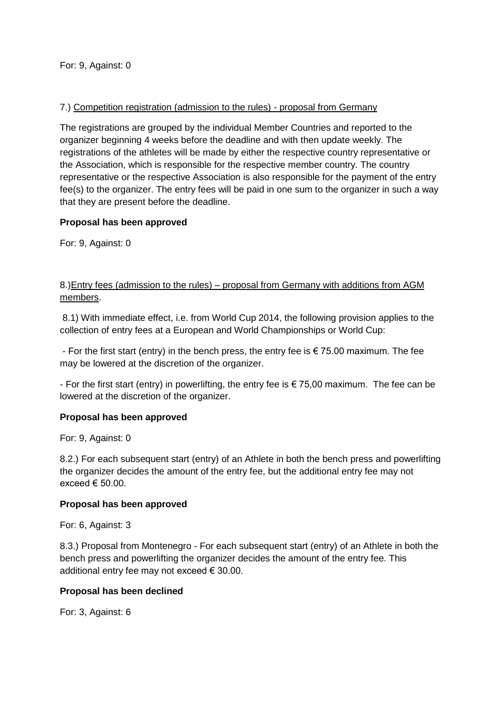### 7.) Competition registration (admission to the rules) - proposal from Germany

The registrations are grouped by the individual Member Countries and reported to the organizer beginning 4 weeks before the deadline and with then update weekly. The registrations of the athletes will be made by either the respective country representative or the Association, which is responsible for the respective member country. The country representative or the respective Association is also responsible for the payment of the entry fee(s) to the organizer. The entry fees will be paid in one sum to the organizer in such a way that they are present before the deadline.

### **Proposal has been approved**

For: 9, Against: 0

# 8.)Entry fees (admission to the rules) – proposal from Germany with additions from AGM members.

8.1) With immediate effect, i.e. from World Cup 2014, the following provision applies to the collection of entry fees at a European and World Championships or World Cup:

- For the first start (entry) in the bench press, the entry fee is  $\epsilon$  75.00 maximum. The fee may be lowered at the discretion of the organizer.

- For the first start (entry) in powerlifting, the entry fee is  $\epsilon$  75,00 maximum. The fee can be lowered at the discretion of the organizer.

### **Proposal has been approved**

For: 9, Against: 0

8.2.) For each subsequent start (entry) of an Athlete in both the bench press and powerlifting the organizer decides the amount of the entry fee, but the additional entry fee may not exceed  $\epsilon$  50.00.

### **Proposal has been approved**

For: 6, Against: 3

8.3.) Proposal from Montenegro - For each subsequent start (entry) of an Athlete in both the bench press and powerlifting the organizer decides the amount of the entry fee. This additional entry fee may not exceed  $\epsilon$  30.00.

### **Proposal has been declined**

For: 3, Against: 6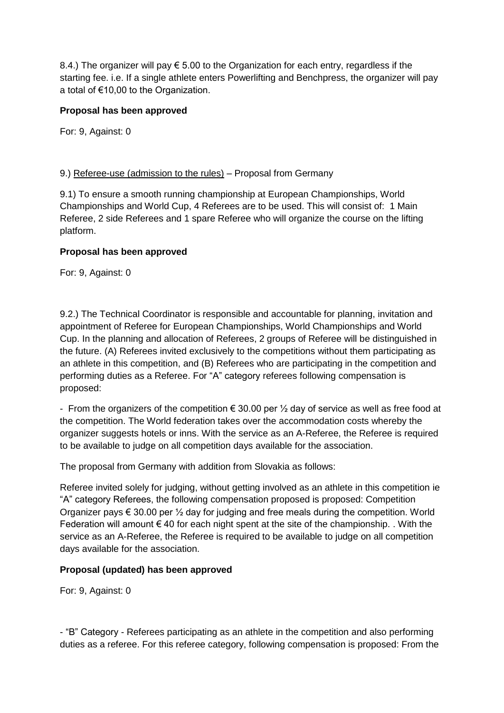8.4.) The organizer will pay  $\epsilon$  5.00 to the Organization for each entry, regardless if the starting fee. i.e. If a single athlete enters Powerlifting and Benchpress, the organizer will pay a total of €10,00 to the Organization.

# **Proposal has been approved**

For: 9, Against: 0

### 9.) Referee-use (admission to the rules) – Proposal from Germany

9.1) To ensure a smooth running championship at European Championships, World Championships and World Cup, 4 Referees are to be used. This will consist of: 1 Main Referee, 2 side Referees and 1 spare Referee who will organize the course on the lifting platform.

### **Proposal has been approved**

For: 9, Against: 0

9.2.) The Technical Coordinator is responsible and accountable for planning, invitation and appointment of Referee for European Championships, World Championships and World Cup. In the planning and allocation of Referees, 2 groups of Referee will be distinguished in the future. (A) Referees invited exclusively to the competitions without them participating as an athlete in this competition, and (B) Referees who are participating in the competition and performing duties as a Referee. For "A" category referees following compensation is proposed:

- From the organizers of the competition  $\epsilon$  30.00 per  $\frac{1}{2}$  day of service as well as free food at the competition. The World federation takes over the accommodation costs whereby the organizer suggests hotels or inns. With the service as an A-Referee, the Referee is required to be available to judge on all competition days available for the association.

The proposal from Germany with addition from Slovakia as follows:

Referee invited solely for judging, without getting involved as an athlete in this competition ie "A" category Referees, the following compensation proposed is proposed: Competition Organizer pays  $\epsilon$  30.00 per  $\frac{1}{2}$  day for judging and free meals during the competition. World Federation will amount  $\epsilon$  40 for each night spent at the site of the championship. . With the service as an A-Referee, the Referee is required to be available to judge on all competition days available for the association.

### **Proposal (updated) has been approved**

For: 9, Against: 0

- "B" Category - Referees participating as an athlete in the competition and also performing duties as a referee. For this referee category, following compensation is proposed: From the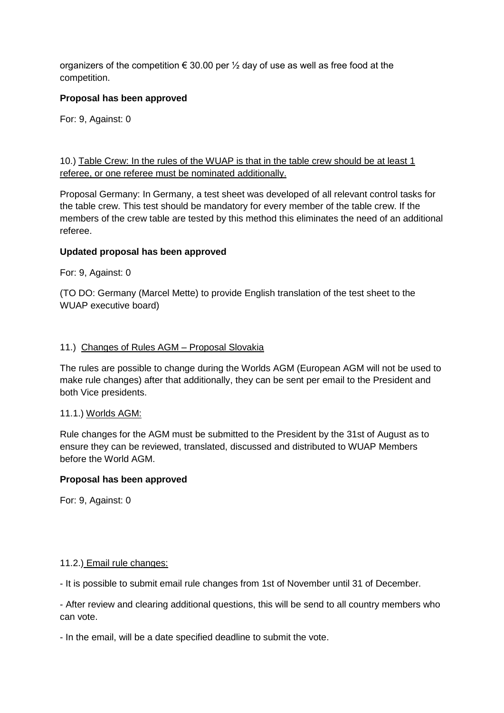organizers of the competition  $\epsilon$  30.00 per  $\frac{1}{2}$  day of use as well as free food at the competition.

### **Proposal has been approved**

For: 9, Against: 0

10.) Table Crew: In the rules of the WUAP is that in the table crew should be at least 1 referee, or one referee must be nominated additionally.

Proposal Germany: In Germany, a test sheet was developed of all relevant control tasks for the table crew. This test should be mandatory for every member of the table crew. If the members of the crew table are tested by this method this eliminates the need of an additional referee.

### **Updated proposal has been approved**

For: 9, Against: 0

(TO DO: Germany (Marcel Mette) to provide English translation of the test sheet to the WUAP executive board)

### 11.) Changes of Rules AGM – Proposal Slovakia

The rules are possible to change during the Worlds AGM (European AGM will not be used to make rule changes) after that additionally, they can be sent per email to the President and both Vice presidents.

### 11.1.) Worlds AGM:

Rule changes for the AGM must be submitted to the President by the 31st of August as to ensure they can be reviewed, translated, discussed and distributed to WUAP Members before the World AGM.

### **Proposal has been approved**

For: 9, Against: 0

### 11.2.) Email rule changes:

- It is possible to submit email rule changes from 1st of November until 31 of December.

- After review and clearing additional questions, this will be send to all country members who can vote.

- In the email, will be a date specified deadline to submit the vote.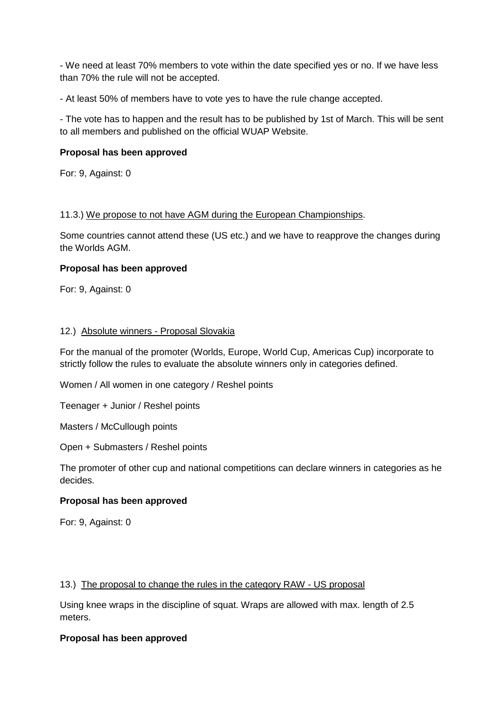- We need at least 70% members to vote within the date specified yes or no. If we have less than 70% the rule will not be accepted.

- At least 50% of members have to vote yes to have the rule change accepted.

- The vote has to happen and the result has to be published by 1st of March. This will be sent to all members and published on the official WUAP Website.

### **Proposal has been approved**

For: 9, Against: 0

### 11.3.) We propose to not have AGM during the European Championships.

Some countries cannot attend these (US etc.) and we have to reapprove the changes during the Worlds AGM.

### **Proposal has been approved**

For: 9, Against: 0

### 12.) Absolute winners - Proposal Slovakia

For the manual of the promoter (Worlds, Europe, World Cup, Americas Cup) incorporate to strictly follow the rules to evaluate the absolute winners only in categories defined.

Women / All women in one category / Reshel points

Teenager + Junior / Reshel points

Masters / McCullough points

Open + Submasters / Reshel points

The promoter of other cup and national competitions can declare winners in categories as he decides.

# **Proposal has been approved**

For: 9, Against: 0

### 13.) The proposal to change the rules in the category RAW - US proposal

Using knee wraps in the discipline of squat. Wraps are allowed with max. length of 2.5 meters.

### **Proposal has been approved**